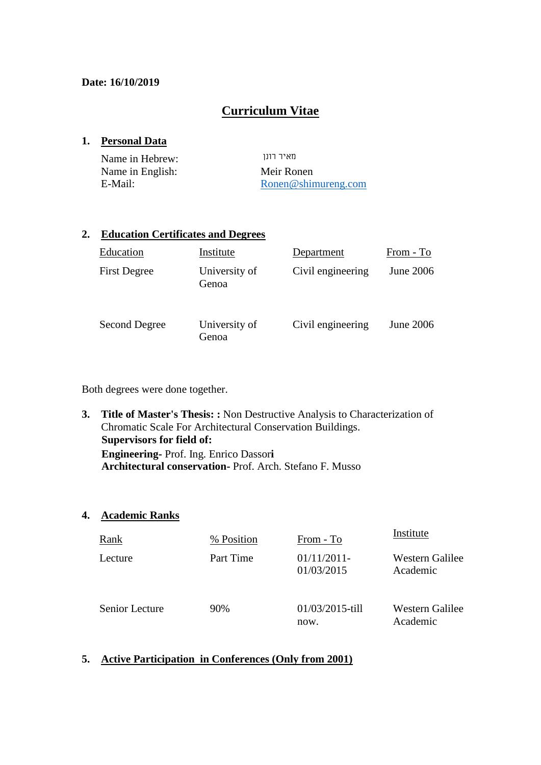## **Date: 16/10/2019**

# **Curriculum Vitae**

## **1. Personal Data**

| Name in Hebrew:  | מאיר רונו           |
|------------------|---------------------|
| Name in English: | Meir Ronen          |
| E-Mail:          | Ronen@shimureng.com |

## **2. Education Certificates and Degrees**

| Education           | Institute              | Department        | From - To        |
|---------------------|------------------------|-------------------|------------------|
| <b>First Degree</b> | University of<br>Genoa | Civil engineering | <b>June 2006</b> |
| Second Degree       | University of<br>Genoa | Civil engineering | <b>June 2006</b> |

Both degrees were done together.

**3. Title of Master's Thesis: :** Non Destructive Analysis to Characterization of Chromatic Scale For Architectural Conservation Buildings. **Supervisors for field of: Engineering-** Prof. Ing. Enrico Dassor**i Architectural conservation-** Prof. Arch. Stefano F. Musso

## **4. Academic Ranks**

| Rank           | % Position | From - To                | Institute                   |
|----------------|------------|--------------------------|-----------------------------|
| Lecture        | Part Time  | 01/11/2011<br>01/03/2015 | Western Galilee<br>Academic |
| Senior Lecture | 90%        | 01/03/2015-till<br>now.  | Western Galilee<br>Academic |

## **5. Active Participation in Conferences (Only from 2001)**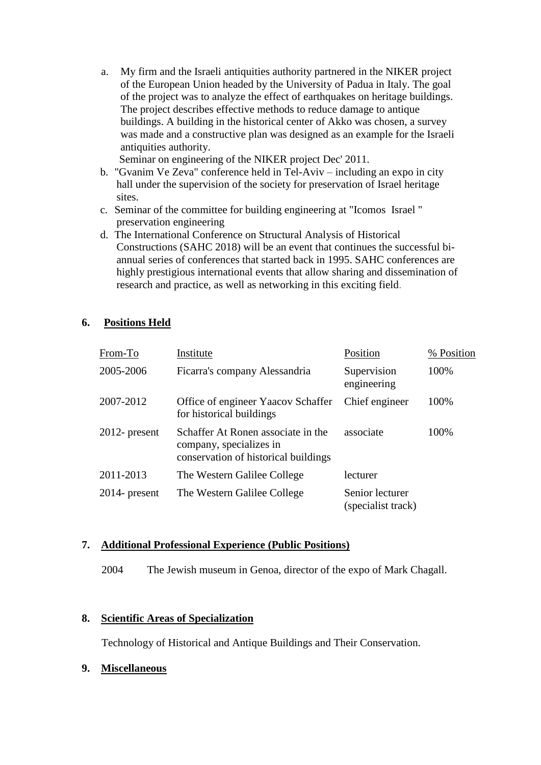a. My firm and the Israeli antiquities authority partnered in the NIKER project of the European Union headed by the University of Padua in Italy. The goal of the project was to analyze the effect of earthquakes on heritage buildings. The project describes effective methods to reduce damage to antique buildings. A building in the historical center of Akko was chosen, a survey was made and a constructive plan was designed as an example for the Israeli antiquities authority.

Seminar on engineering of the NIKER project Dec' 2011.

- b. "Gvanim Ve Zeva" conference held in Tel-Aviv including an expo in city hall under the supervision of the society for preservation of Israel heritage sites.
- c. Seminar of the committee for building engineering at "Icomos Israel " preservation engineering
- d. The International Conference on Structural Analysis of Historical Constructions (SAHC 2018) will be an event that continues the successful biannual series of conferences that started back in 1995. SAHC conferences are highly prestigious international events that allow sharing and dissemination of research and practice, as well as networking in this exciting field.

# **6. Positions Held**

| From-To          | Institute                                                                                             | Position                              | % Position |
|------------------|-------------------------------------------------------------------------------------------------------|---------------------------------------|------------|
| 2005-2006        | Ficarra's company Alessandria                                                                         | Supervision<br>engineering            | 100%       |
| 2007-2012        | Office of engineer Yaacov Schaffer<br>for historical buildings                                        | Chief engineer                        | 100%       |
| $2012$ - present | Schaffer At Ronen associate in the<br>company, specializes in<br>conservation of historical buildings | associate                             | 100%       |
| 2011-2013        | The Western Galilee College                                                                           | lecturer                              |            |
| $2014$ - present | The Western Galilee College                                                                           | Senior lecturer<br>(specialist track) |            |

## **7. Additional Professional Experience (Public Positions)**

2004 The Jewish museum in Genoa, director of the expo of Mark Chagall.

## **8. Scientific Areas of Specialization**

Technology of Historical and Antique Buildings and Their Conservation.

## **9. Miscellaneous**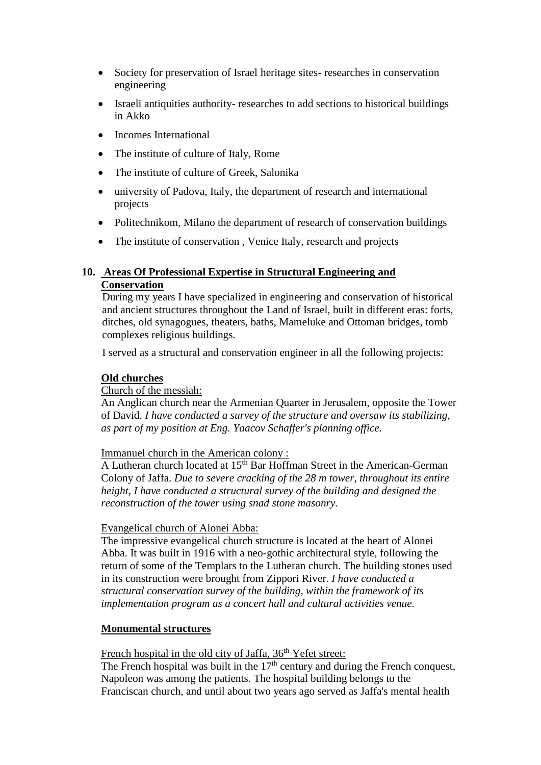- Society for preservation of Israel heritage sites- researches in conservation engineering
- Israeli antiquities authority- researches to add sections to historical buildings in Akko
- Incomes International
- The institute of culture of Italy, Rome
- The institute of culture of Greek, Salonika
- university of Padova, Italy, the department of research and international projects
- Politechnikom, Milano the department of research of conservation buildings
- The institute of conservation, Venice Italy, research and projects

# **10. Areas Of Professional Expertise in Structural Engineering and Conservation**

During my years I have specialized in engineering and conservation of historical and ancient structures throughout the Land of Israel, built in different eras: forts, ditches, old synagogues, theaters, baths, Mameluke and Ottoman bridges, tomb complexes religious buildings.

I served as a structural and conservation engineer in all the following projects:

## **Old churches**

## Church of the messiah:

An Anglican church near the Armenian Quarter in Jerusalem, opposite the Tower of David. *I have conducted a survey of the structure and oversaw its stabilizing, as part of my position at Eng. Yaacov Schaffer's planning office.* 

## Immanuel church in the American colony :

A Lutheran church located at 15th Bar Hoffman Street in the American-German Colony of Jaffa. *Due to severe cracking of the 28 m tower, throughout its entire height, I have conducted a structural survey of the building and designed the reconstruction of the tower using snad stone masonry.*

## Evangelical church of Alonei Abba:

The impressive evangelical church structure is located at the heart of Alonei Abba. It was built in 1916 with a neo-gothic architectural style, following the return of some of the Templars to the Lutheran church. The building stones used in its construction were brought from Zippori River. *I have conducted a structural conservation survey of the building, within the framework of its implementation program as a concert hall and cultural activities venue.* 

## **Monumental structures**

French hospital in the old city of Jaffa, 36<sup>th</sup> Yefet street:

The French hospital was built in the  $17<sup>th</sup>$  century and during the French conquest, Napoleon was among the patients. The hospital building belongs to the Franciscan church, and until about two years ago served as Jaffa's mental health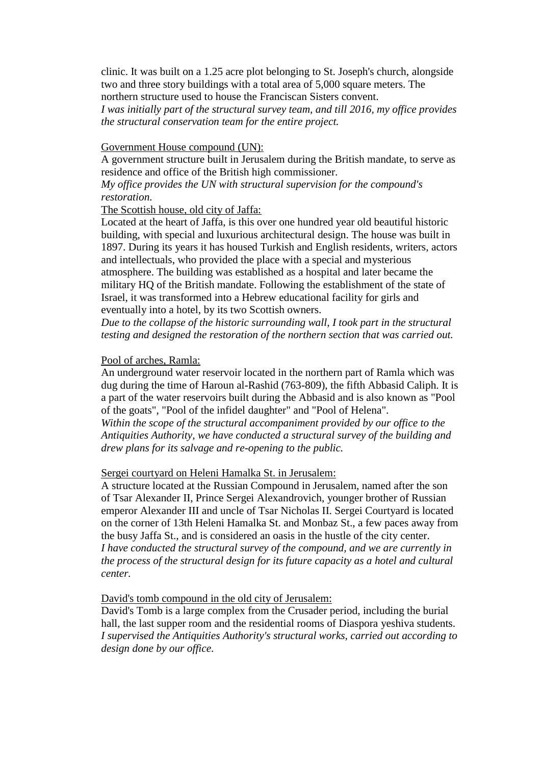clinic. It was built on a 1.25 acre plot belonging to St. Joseph's church, alongside two and three story buildings with a total area of 5,000 square meters. The northern structure used to house the Franciscan Sisters convent.

*I was initially part of the structural survey team, and till 2016, my office provides the structural conservation team for the entire project.* 

#### Government House compound (UN):

A government structure built in Jerusalem during the British mandate, to serve as residence and office of the British high commissioner.

*My office provides the UN with structural supervision for the compound's restoration.* 

The Scottish house, old city of Jaffa:

Located at the heart of Jaffa, is this over one hundred year old beautiful historic building, with special and luxurious architectural design. The house was built in 1897. During its years it has housed Turkish and English residents, writers, actors and intellectuals, who provided the place with a special and mysterious atmosphere. The building was established as a hospital and later became the military HQ of the British mandate. Following the establishment of the state of Israel, it was transformed into a Hebrew educational facility for girls and eventually into a hotel, by its two Scottish owners.

*Due to the collapse of the historic surrounding wall, I took part in the structural testing and designed the restoration of the northern section that was carried out.*

#### Pool of arches, Ramla:

An underground water reservoir located in the northern part of Ramla which was dug during the time of Haroun al-Rashid (763-809), the fifth Abbasid Caliph. It is a part of the water reservoirs built during the Abbasid and is also known as "Pool of the goats", "Pool of the infidel daughter" and "Pool of Helena".

*Within the scope of the structural accompaniment provided by our office to the Antiquities Authority, we have conducted a structural survey of the building and drew plans for its salvage and re-opening to the public.* 

### Sergei courtyard on Heleni Hamalka St. in Jerusalem:

A structure located at the Russian Compound in Jerusalem, named after the son of Tsar Alexander II, Prince Sergei Alexandrovich, younger brother of Russian emperor Alexander III and uncle of Tsar Nicholas II. Sergei Courtyard is located on the corner of 13th Heleni Hamalka St. and Monbaz St., a few paces away from the busy Jaffa St., and is considered an oasis in the hustle of the city center*. I have conducted the structural survey of the compound, and we are currently in the process of the structural design for its future capacity as a hotel and cultural center.*

David's tomb compound in the old city of Jerusalem:

David's Tomb is a large complex from the Crusader period, including the burial hall, the last supper room and the residential rooms of Diaspora yeshiva students. *I supervised the Antiquities Authority's structural works, carried out according to design done by our office.*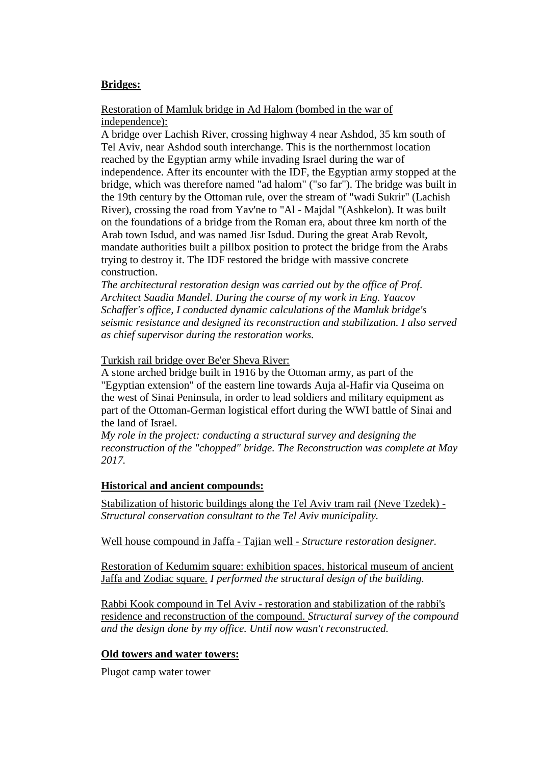## **Bridges:**

## Restoration of Mamluk bridge in Ad Halom (bombed in the war of independence):

A bridge over Lachish River, crossing highway 4 near Ashdod, 35 km south of Tel Aviv, near Ashdod south interchange. This is the northernmost location reached by the Egyptian army while invading Israel during the war of independence. After its encounter with the IDF, the Egyptian army stopped at the bridge, which was therefore named "ad halom" ("so far"). The bridge was built in the 19th century by the Ottoman rule, over the stream of "wadi Sukrir" (Lachish River), crossing the road from Yav'ne to "Al - Majdal "(Ashkelon). It was built on the foundations of a bridge from the Roman era, about three km north of the Arab town Isdud, and was named Jisr Isdud. During the great Arab Revolt, mandate authorities built a pillbox position to protect the bridge from the Arabs trying to destroy it. The IDF restored the bridge with massive concrete construction.

*The architectural restoration design was carried out by the office of Prof. Architect Saadia Mandel. During the course of my work in Eng. Yaacov Schaffer's office, I conducted dynamic calculations of the Mamluk bridge's seismic resistance and designed its reconstruction and stabilization. I also served as chief supervisor during the restoration works.* 

## Turkish rail bridge over Be'er Sheva River:

A stone arched bridge built in 1916 by the Ottoman army, as part of the "Egyptian extension" of the eastern line towards [Auja al-Hafir](http://en.wikipedia.org/wiki/Auja_al-Hafir) via Quseima on the west of Sinai Peninsula, in order to lead soldiers and military equipment as part of the Ottoman-German logistical effort during the WWI battle of Sinai and the land of Israel.

*My role in the project: conducting a structural survey and designing the reconstruction of the "chopped" bridge. The Reconstruction was complete at May 2017.*

## **Historical and ancient compounds:**

Stabilization of historic buildings along the Tel Aviv tram rail (Neve Tzedek) - *Structural conservation consultant to the Tel Aviv municipality.*

Well house compound in Jaffa - Tajian well - *Structure restoration designer.*

Restoration of Kedumim square: exhibition spaces, historical museum of ancient Jaffa and Zodiac square. *I performed the structural design of the building.*

Rabbi Kook compound in Tel Aviv - restoration and stabilization of the rabbi's residence and reconstruction of the compound. *Structural survey of the compound and the design done by my office. Until now wasn't reconstructed.* 

## **Old towers and water towers:**

Plugot camp water tower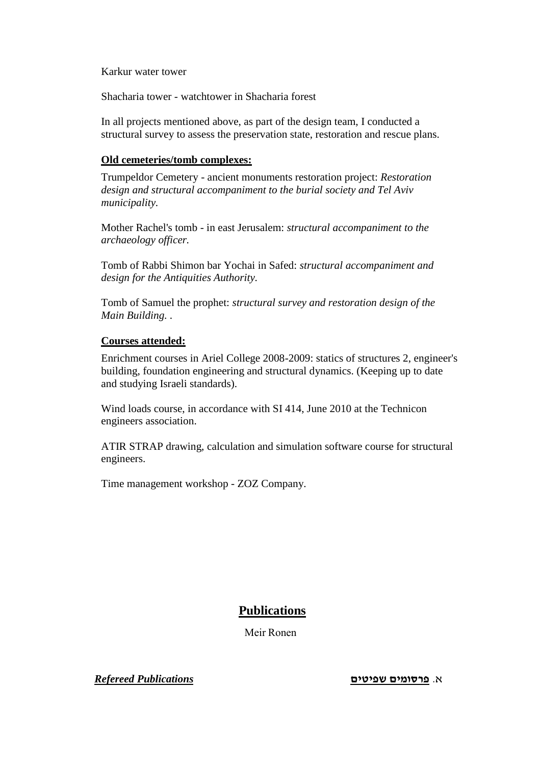Karkur water tower

Shacharia tower - watchtower in Shacharia forest

In all projects mentioned above, as part of the design team, I conducted a structural survey to assess the preservation state, restoration and rescue plans.

## **Old cemeteries/tomb complexes:**

Trumpeldor Cemetery - ancient monuments restoration project: *Restoration design and structural accompaniment to the burial society and Tel Aviv municipality.*

Mother Rachel's tomb - in east Jerusalem: *structural accompaniment to the archaeology officer.*

Tomb of Rabbi Shimon bar Yochai in Safed: *structural accompaniment and design for the Antiquities Authority.*

Tomb of Samuel the prophet: *structural survey and restoration design of the Main Building. .*

## **Courses attended:**

Enrichment courses in Ariel College 2008-2009: statics of structures 2, engineer's building, foundation engineering and structural dynamics. (Keeping up to date and studying Israeli standards).

Wind loads course, in accordance with SI 414, June 2010 at the Technicon engineers association.

ATIR STRAP drawing, calculation and simulation software course for structural engineers.

Time management workshop - ZOZ Company.

# **Publications**

Meir Ronen

א. **פרסומים שפיטים** *Publications Refereed*